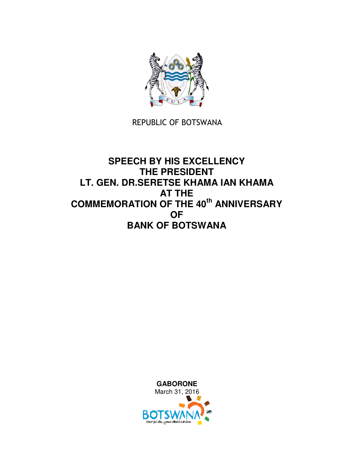

## REPUBLIC OF BOTSWANA

## **SPEECH BY HIS EXCELLENCY THE PRESIDENT LT. GEN. DR.SERETSE KHAMA IAN KHAMA AT THE COMMEMORATION OF THE 40th ANNIVERSARY OF BANK OF BOTSWANA**

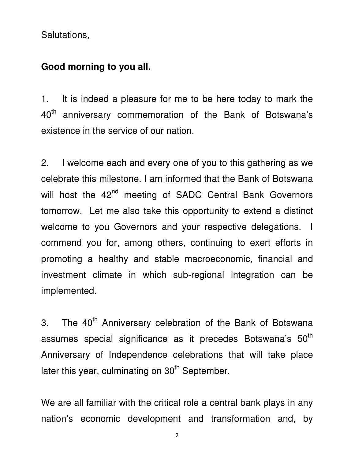Salutations,

## **Good morning to you all.**

1. It is indeed a pleasure for me to be here today to mark the 40<sup>th</sup> anniversary commemoration of the Bank of Botswana's existence in the service of our nation.

2. I welcome each and every one of you to this gathering as we celebrate this milestone. I am informed that the Bank of Botswana will host the 42<sup>nd</sup> meeting of SADC Central Bank Governors tomorrow. Let me also take this opportunity to extend a distinct welcome to you Governors and your respective delegations. I commend you for, among others, continuing to exert efforts in promoting a healthy and stable macroeconomic, financial and investment climate in which sub-regional integration can be implemented.

3. The 40<sup>th</sup> Anniversary celebration of the Bank of Botswana assumes special significance as it precedes Botswana's 50<sup>th</sup> Anniversary of Independence celebrations that will take place later this year, culminating on  $30<sup>th</sup>$  September.

We are all familiar with the critical role a central bank plays in any nation's economic development and transformation and, by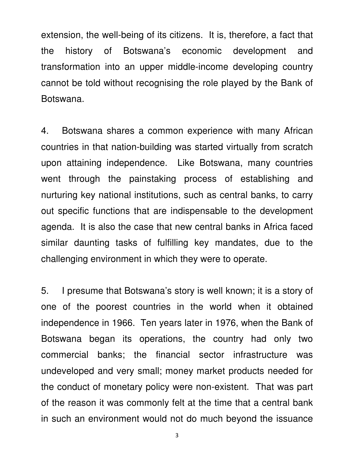extension, the well-being of its citizens. It is, therefore, a fact that the history of Botswana's economic development and transformation into an upper middle-income developing country cannot be told without recognising the role played by the Bank of Botswana.

4. Botswana shares a common experience with many African countries in that nation-building was started virtually from scratch upon attaining independence. Like Botswana, many countries went through the painstaking process of establishing and nurturing key national institutions, such as central banks, to carry out specific functions that are indispensable to the development agenda. It is also the case that new central banks in Africa faced similar daunting tasks of fulfilling key mandates, due to the challenging environment in which they were to operate.

5. I presume that Botswana's story is well known; it is a story of one of the poorest countries in the world when it obtained independence in 1966. Ten years later in 1976, when the Bank of Botswana began its operations, the country had only two commercial banks; the financial sector infrastructure was undeveloped and very small; money market products needed for the conduct of monetary policy were non-existent. That was part of the reason it was commonly felt at the time that a central bank in such an environment would not do much beyond the issuance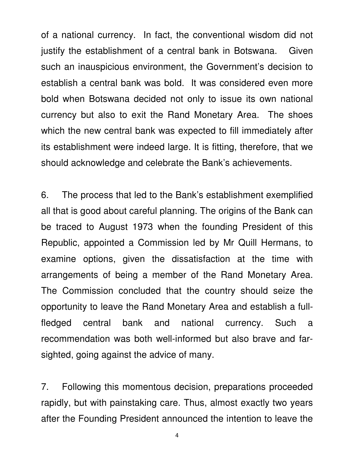of a national currency. In fact, the conventional wisdom did not justify the establishment of a central bank in Botswana. Given such an inauspicious environment, the Government's decision to establish a central bank was bold. It was considered even more bold when Botswana decided not only to issue its own national currency but also to exit the Rand Monetary Area. The shoes which the new central bank was expected to fill immediately after its establishment were indeed large. It is fitting, therefore, that we should acknowledge and celebrate the Bank's achievements.

6. The process that led to the Bank's establishment exemplified all that is good about careful planning. The origins of the Bank can be traced to August 1973 when the founding President of this Republic, appointed a Commission led by Mr Quill Hermans, to examine options, given the dissatisfaction at the time with arrangements of being a member of the Rand Monetary Area. The Commission concluded that the country should seize the opportunity to leave the Rand Monetary Area and establish a fullfledged central bank and national currency. Such a recommendation was both well-informed but also brave and farsighted, going against the advice of many.

7. Following this momentous decision, preparations proceeded rapidly, but with painstaking care. Thus, almost exactly two years after the Founding President announced the intention to leave the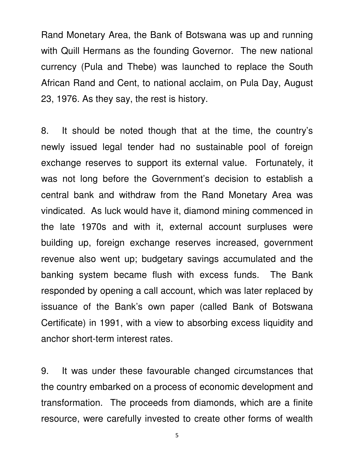Rand Monetary Area, the Bank of Botswana was up and running with Quill Hermans as the founding Governor. The new national currency (Pula and Thebe) was launched to replace the South African Rand and Cent, to national acclaim, on Pula Day, August 23, 1976. As they say, the rest is history.

8. It should be noted though that at the time, the country's newly issued legal tender had no sustainable pool of foreign exchange reserves to support its external value. Fortunately, it was not long before the Government's decision to establish a central bank and withdraw from the Rand Monetary Area was vindicated. As luck would have it, diamond mining commenced in the late 1970s and with it, external account surpluses were building up, foreign exchange reserves increased, government revenue also went up; budgetary savings accumulated and the banking system became flush with excess funds. The Bank responded by opening a call account, which was later replaced by issuance of the Bank's own paper (called Bank of Botswana Certificate) in 1991, with a view to absorbing excess liquidity and anchor short-term interest rates.

9. It was under these favourable changed circumstances that the country embarked on a process of economic development and transformation. The proceeds from diamonds, which are a finite resource, were carefully invested to create other forms of wealth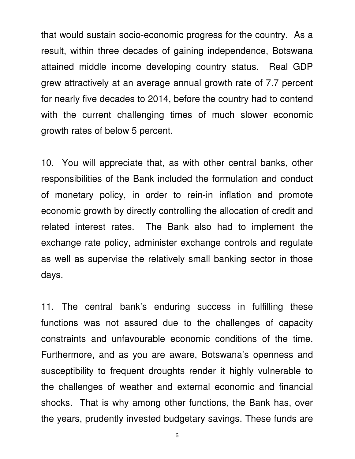that would sustain socio-economic progress for the country. As a result, within three decades of gaining independence, Botswana attained middle income developing country status. Real GDP grew attractively at an average annual growth rate of 7.7 percent for nearly five decades to 2014, before the country had to contend with the current challenging times of much slower economic growth rates of below 5 percent.

10. You will appreciate that, as with other central banks, other responsibilities of the Bank included the formulation and conduct of monetary policy, in order to rein-in inflation and promote economic growth by directly controlling the allocation of credit and related interest rates. The Bank also had to implement the exchange rate policy, administer exchange controls and regulate as well as supervise the relatively small banking sector in those days.

11. The central bank's enduring success in fulfilling these functions was not assured due to the challenges of capacity constraints and unfavourable economic conditions of the time. Furthermore, and as you are aware, Botswana's openness and susceptibility to frequent droughts render it highly vulnerable to the challenges of weather and external economic and financial shocks. That is why among other functions, the Bank has, over the years, prudently invested budgetary savings. These funds are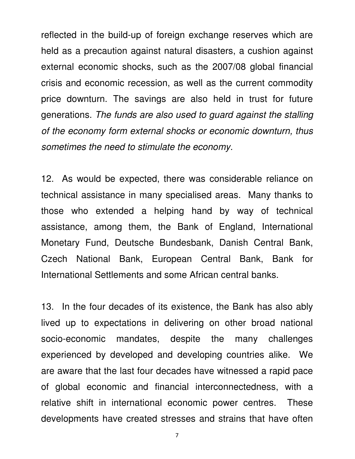reflected in the build-up of foreign exchange reserves which are held as a precaution against natural disasters, a cushion against external economic shocks, such as the 2007/08 global financial crisis and economic recession, as well as the current commodity price downturn. The savings are also held in trust for future generations. The funds are also used to guard against the stalling of the economy form external shocks or economic downturn, thus sometimes the need to stimulate the economy.

12. As would be expected, there was considerable reliance on technical assistance in many specialised areas. Many thanks to those who extended a helping hand by way of technical assistance, among them, the Bank of England, International Monetary Fund, Deutsche Bundesbank, Danish Central Bank, Czech National Bank, European Central Bank, Bank for International Settlements and some African central banks.

13. In the four decades of its existence, the Bank has also ably lived up to expectations in delivering on other broad national socio-economic mandates, despite the many challenges experienced by developed and developing countries alike. We are aware that the last four decades have witnessed a rapid pace of global economic and financial interconnectedness, with a relative shift in international economic power centres. These developments have created stresses and strains that have often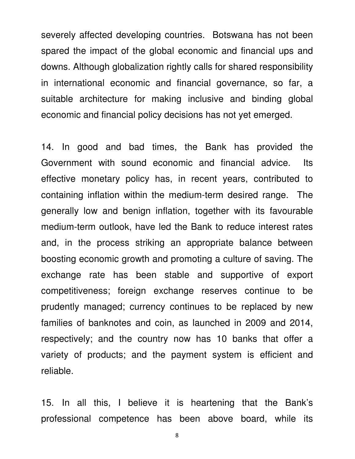severely affected developing countries. Botswana has not been spared the impact of the global economic and financial ups and downs. Although globalization rightly calls for shared responsibility in international economic and financial governance, so far, a suitable architecture for making inclusive and binding global economic and financial policy decisions has not yet emerged.

14. In good and bad times, the Bank has provided the Government with sound economic and financial advice. Its effective monetary policy has, in recent years, contributed to containing inflation within the medium-term desired range. The generally low and benign inflation, together with its favourable medium-term outlook, have led the Bank to reduce interest rates and, in the process striking an appropriate balance between boosting economic growth and promoting a culture of saving. The exchange rate has been stable and supportive of export competitiveness; foreign exchange reserves continue to be prudently managed; currency continues to be replaced by new families of banknotes and coin, as launched in 2009 and 2014, respectively; and the country now has 10 banks that offer a variety of products; and the payment system is efficient and reliable.

15. In all this, I believe it is heartening that the Bank's professional competence has been above board, while its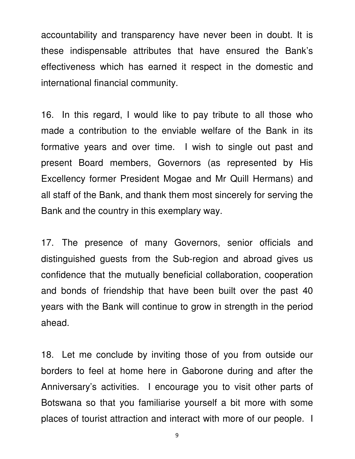accountability and transparency have never been in doubt. It is these indispensable attributes that have ensured the Bank's effectiveness which has earned it respect in the domestic and international financial community.

16. In this regard, I would like to pay tribute to all those who made a contribution to the enviable welfare of the Bank in its formative years and over time. I wish to single out past and present Board members, Governors (as represented by His Excellency former President Mogae and Mr Quill Hermans) and all staff of the Bank, and thank them most sincerely for serving the Bank and the country in this exemplary way.

17. The presence of many Governors, senior officials and distinguished guests from the Sub-region and abroad gives us confidence that the mutually beneficial collaboration, cooperation and bonds of friendship that have been built over the past 40 years with the Bank will continue to grow in strength in the period ahead.

18. Let me conclude by inviting those of you from outside our borders to feel at home here in Gaborone during and after the Anniversary's activities. I encourage you to visit other parts of Botswana so that you familiarise yourself a bit more with some places of tourist attraction and interact with more of our people. I